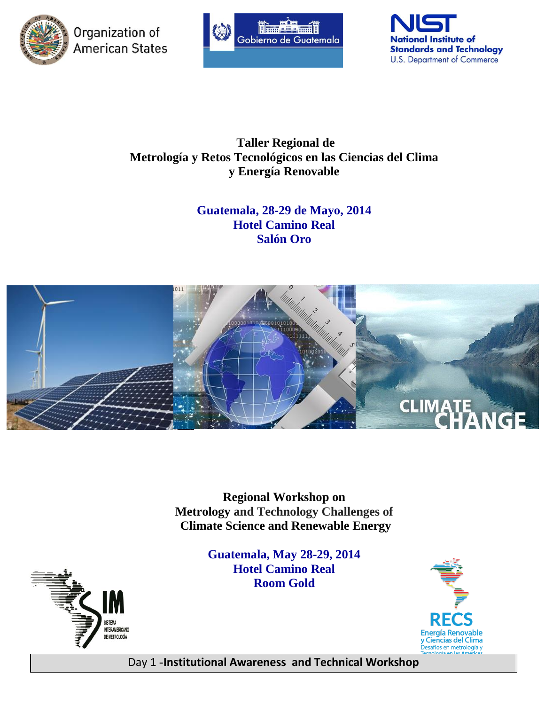

Organization of American States





# **Taller Regional de Metrología y Retos Tecnológicos en las Ciencias del Clima y Energía Renovable**

# **Guatemala, 28-29 de Mayo, 2014 Hotel Camino Real Salón Oro**



**Regional Workshop on Metrology and Technology Challenges of Climate Science and Renewable Energy**

> **Guatemala, May 28-29, 2014 Hotel Camino Real Room Gold**





Day 1 -**Institutional Awareness and Technical Workshop**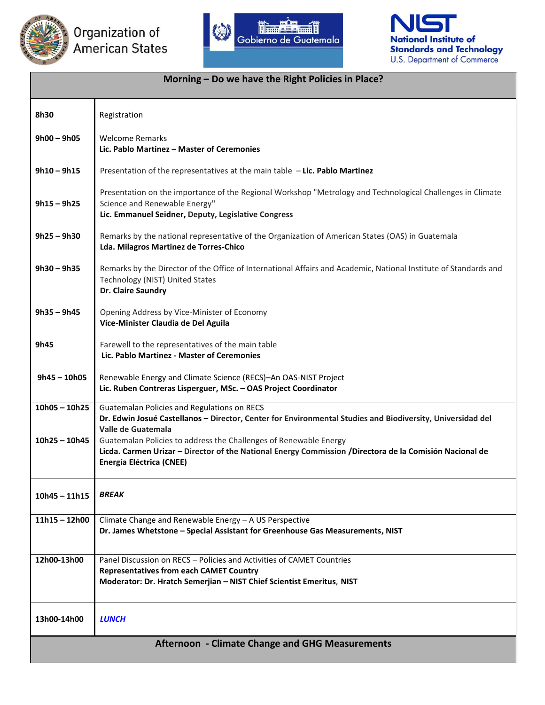





#### **Morning – Do we have the Right Policies in Place?**

| 8h30                                                   | Registration                                                                                                                                                                                                    |  |
|--------------------------------------------------------|-----------------------------------------------------------------------------------------------------------------------------------------------------------------------------------------------------------------|--|
| $9h00 - 9h05$                                          | <b>Welcome Remarks</b><br>Lic. Pablo Martinez - Master of Ceremonies                                                                                                                                            |  |
| $9h10 - 9h15$                                          | Presentation of the representatives at the main table $-$ Lic. Pablo Martinez                                                                                                                                   |  |
| $9h15 - 9h25$                                          | Presentation on the importance of the Regional Workshop "Metrology and Technological Challenges in Climate<br>Science and Renewable Energy"<br>Lic. Emmanuel Seidner, Deputy, Legislative Congress              |  |
| $9h25 - 9h30$                                          | Remarks by the national representative of the Organization of American States (OAS) in Guatemala<br>Lda. Milagros Martinez de Torres-Chico                                                                      |  |
| $9h30 - 9h35$                                          | Remarks by the Director of the Office of International Affairs and Academic, National Institute of Standards and<br>Technology (NIST) United States<br>Dr. Claire Saundry                                       |  |
| $9h35 - 9h45$                                          | Opening Address by Vice-Minister of Economy<br>Vice-Minister Claudia de Del Aguila                                                                                                                              |  |
| 9h45                                                   | Farewell to the representatives of the main table<br>Lic. Pablo Martinez - Master of Ceremonies                                                                                                                 |  |
| $9h45 - 10h05$                                         | Renewable Energy and Climate Science (RECS)-An OAS-NIST Project<br>Lic. Ruben Contreras Lisperguer, MSc. - OAS Project Coordinator                                                                              |  |
| $10h05 - 10h25$                                        | Guatemalan Policies and Regulations on RECS<br>Dr. Edwin Josué Castellanos - Director, Center for Environmental Studies and Biodiversity, Universidad del<br>Valle de Guatemala                                 |  |
| $10h25 - 10h45$                                        | Guatemalan Policies to address the Challenges of Renewable Energy<br>Licda. Carmen Urizar - Director of the National Energy Commission /Directora de la Comisión Nacional de<br><b>Energía Eléctrica (CNEE)</b> |  |
| 10h45 – 11h15                                          | <b>BREAK</b>                                                                                                                                                                                                    |  |
| $11h15 - 12h00$                                        | Climate Change and Renewable Energy - A US Perspective<br>Dr. James Whetstone - Special Assistant for Greenhouse Gas Measurements, NIST                                                                         |  |
| 12h00-13h00                                            | Panel Discussion on RECS – Policies and Activities of CAMET Countries<br><b>Representatives from each CAMET Country</b><br>Moderator: Dr. Hratch Semerjian - NIST Chief Scientist Emeritus, NIST                |  |
| 13h00-14h00                                            | <b>LUNCH</b>                                                                                                                                                                                                    |  |
| <b>Afternoon - Climate Change and GHG Measurements</b> |                                                                                                                                                                                                                 |  |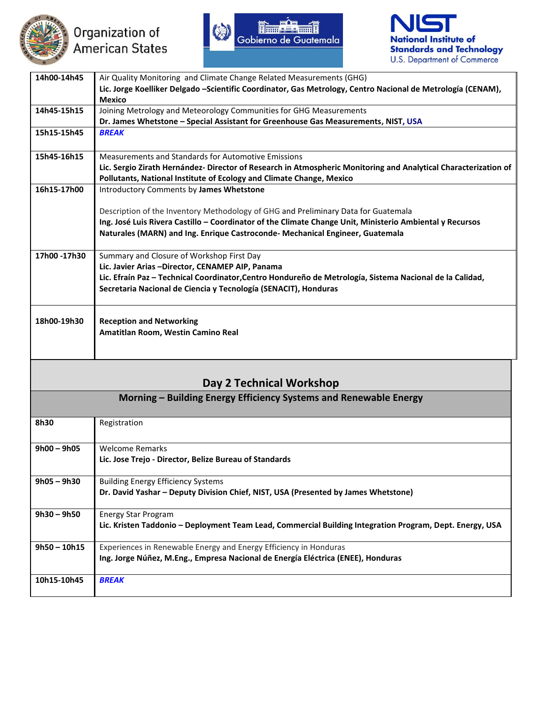





| 14h00-14h45                                                       | Air Quality Monitoring and Climate Change Related Measurements (GHG)                                                                                                                           |  |
|-------------------------------------------------------------------|------------------------------------------------------------------------------------------------------------------------------------------------------------------------------------------------|--|
|                                                                   | Lic. Jorge Koelliker Delgado -Scientific Coordinator, Gas Metrology, Centro Nacional de Metrología (CENAM),                                                                                    |  |
|                                                                   | <b>Mexico</b>                                                                                                                                                                                  |  |
| 14h45-15h15                                                       | Joining Metrology and Meteorology Communities for GHG Measurements                                                                                                                             |  |
|                                                                   | Dr. James Whetstone - Special Assistant for Greenhouse Gas Measurements, NIST, USA                                                                                                             |  |
| 15h15-15h45                                                       | <b>BREAK</b>                                                                                                                                                                                   |  |
| 15h45-16h15                                                       | Measurements and Standards for Automotive Emissions                                                                                                                                            |  |
|                                                                   | Lic. Sergio Zirath Hernández- Director of Research in Atmospheric Monitoring and Analytical Characterization of<br>Pollutants, National Institute of Ecology and Climate Change, Mexico        |  |
| 16h15-17h00                                                       | Introductory Comments by James Whetstone                                                                                                                                                       |  |
|                                                                   | Description of the Inventory Methodology of GHG and Preliminary Data for Guatemala<br>Ing. José Luis Rivera Castillo - Coordinator of the Climate Change Unit, Ministerio Ambiental y Recursos |  |
|                                                                   | Naturales (MARN) and Ing. Enrique Castroconde- Mechanical Engineer, Guatemala                                                                                                                  |  |
| 17h00 -17h30                                                      | Summary and Closure of Workshop First Day                                                                                                                                                      |  |
|                                                                   | Lic. Javier Arias -Director, CENAMEP AIP, Panama                                                                                                                                               |  |
|                                                                   | Lic. Efraín Paz - Technical Coordinator, Centro Hondureño de Metrología, Sistema Nacional de la Calidad,<br>Secretaria Nacional de Ciencia y Tecnología (SENACIT), Honduras                    |  |
|                                                                   |                                                                                                                                                                                                |  |
| 18h00-19h30                                                       | <b>Reception and Networking</b>                                                                                                                                                                |  |
|                                                                   | Amatitlan Room, Westin Camino Real                                                                                                                                                             |  |
|                                                                   |                                                                                                                                                                                                |  |
|                                                                   |                                                                                                                                                                                                |  |
| Day 2 Technical Workshop                                          |                                                                                                                                                                                                |  |
| Morning – Building Energy Efficiency Systems and Renewable Energy |                                                                                                                                                                                                |  |
| 01.30                                                             | $D = -1$ , $L = 1$ .                                                                                                                                                                           |  |

| 8h30           | Registration                                                                                             |
|----------------|----------------------------------------------------------------------------------------------------------|
|                |                                                                                                          |
| $9h00 - 9h05$  | <b>Welcome Remarks</b>                                                                                   |
|                | Lic. Jose Trejo - Director, Belize Bureau of Standards                                                   |
| $9h05 - 9h30$  | <b>Building Energy Efficiency Systems</b>                                                                |
|                | Dr. David Yashar - Deputy Division Chief, NIST, USA (Presented by James Whetstone)                       |
| $9h30 - 9h50$  | Energy Star Program                                                                                      |
|                | Lic. Kristen Taddonio – Deployment Team Lead, Commercial Building Integration Program, Dept. Energy, USA |
| $9h50 - 10h15$ | Experiences in Renewable Energy and Energy Efficiency in Honduras                                        |
|                | Ing. Jorge Núñez, M.Eng., Empresa Nacional de Energía Eléctrica (ENEE), Honduras                         |
| 10h15-10h45    | <b>BREAK</b>                                                                                             |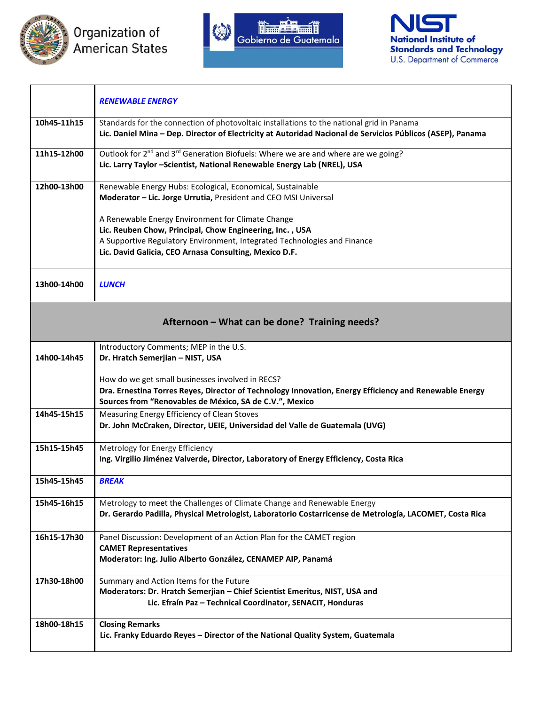





|                                               | <b>RENEWABLE ENERGY</b>                                                                                                                                                                                                                             |  |
|-----------------------------------------------|-----------------------------------------------------------------------------------------------------------------------------------------------------------------------------------------------------------------------------------------------------|--|
| 10h45-11h15                                   | Standards for the connection of photovoltaic installations to the national grid in Panama<br>Lic. Daniel Mina - Dep. Director of Electricity at Autoridad Nacional de Servicios Públicos (ASEP), Panama                                             |  |
| 11h15-12h00                                   | Outlook for 2 <sup>nd</sup> and 3 <sup>rd</sup> Generation Biofuels: Where we are and where are we going?<br>Lic. Larry Taylor -Scientist, National Renewable Energy Lab (NREL), USA                                                                |  |
| 12h00-13h00                                   | Renewable Energy Hubs: Ecological, Economical, Sustainable<br>Moderator - Lic. Jorge Urrutia, President and CEO MSI Universal                                                                                                                       |  |
|                                               | A Renewable Energy Environment for Climate Change<br>Lic. Reuben Chow, Principal, Chow Engineering, Inc., USA<br>A Supportive Regulatory Environment, Integrated Technologies and Finance<br>Lic. David Galicia, CEO Arnasa Consulting, Mexico D.F. |  |
| 13h00-14h00                                   | <b>LUNCH</b>                                                                                                                                                                                                                                        |  |
| Afternoon - What can be done? Training needs? |                                                                                                                                                                                                                                                     |  |
| 14h00-14h45                                   | Introductory Comments; MEP in the U.S.<br>Dr. Hratch Semerjian - NIST, USA                                                                                                                                                                          |  |
|                                               | How do we get small businesses involved in RECS?<br>Dra. Ernestina Torres Reyes, Director of Technology Innovation, Energy Efficiency and Renewable Energy<br>Sources from "Renovables de México, SA de C.V.", Mexico                               |  |
| 14h45-15h15                                   | Measuring Energy Efficiency of Clean Stoves<br>Dr. John McCraken, Director, UEIE, Universidad del Valle de Guatemala (UVG)                                                                                                                          |  |
| 15h15-15h45                                   | Metrology for Energy Efficiency<br>Ing. Virgilio Jiménez Valverde, Director, Laboratory of Energy Efficiency, Costa Rica                                                                                                                            |  |
| 15h45-15h45                                   | <b>BREAK</b>                                                                                                                                                                                                                                        |  |
| 15h45-16h15                                   | Metrology to meet the Challenges of Climate Change and Renewable Energy<br>Dr. Gerardo Padilla, Physical Metrologist, Laboratorio Costarricense de Metrología, LACOMET, Costa Rica                                                                  |  |
| 16h15-17h30                                   | Panel Discussion: Development of an Action Plan for the CAMET region<br><b>CAMET Representatives</b><br>Moderator: Ing. Julio Alberto González, CENAMEP AIP, Panamá                                                                                 |  |
| 17h30-18h00                                   | Summary and Action Items for the Future<br>Moderators: Dr. Hratch Semerjian - Chief Scientist Emeritus, NIST, USA and<br>Lic. Efraín Paz - Technical Coordinator, SENACIT, Honduras                                                                 |  |
| 18h00-18h15                                   | <b>Closing Remarks</b><br>Lic. Franky Eduardo Reyes - Director of the National Quality System, Guatemala                                                                                                                                            |  |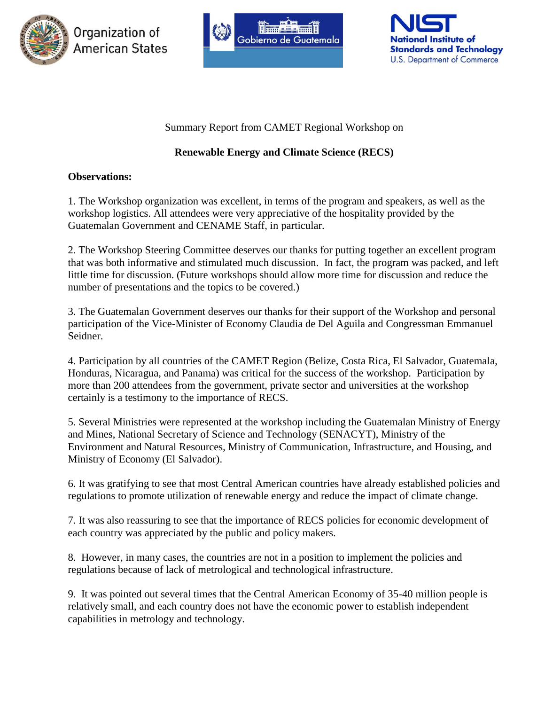





### Summary Report from CAMET Regional Workshop on

## **Renewable Energy and Climate Science (RECS)**

### **Observations:**

1. The Workshop organization was excellent, in terms of the program and speakers, as well as the workshop logistics. All attendees were very appreciative of the hospitality provided by the Guatemalan Government and CENAME Staff, in particular.

2. The Workshop Steering Committee deserves our thanks for putting together an excellent program that was both informative and stimulated much discussion. In fact, the program was packed, and left little time for discussion. (Future workshops should allow more time for discussion and reduce the number of presentations and the topics to be covered.)

3. The Guatemalan Government deserves our thanks for their support of the Workshop and personal participation of the Vice-Minister of Economy Claudia de Del Aguila and Congressman Emmanuel Seidner.

4. Participation by all countries of the CAMET Region (Belize, Costa Rica, El Salvador, Guatemala, Honduras, Nicaragua, and Panama) was critical for the success of the workshop. Participation by more than 200 attendees from the government, private sector and universities at the workshop certainly is a testimony to the importance of RECS.

5. Several Ministries were represented at the workshop including the Guatemalan Ministry of Energy and Mines, National Secretary of Science and Technology (SENACYT), Ministry of the Environment and Natural Resources, Ministry of Communication, Infrastructure, and Housing, and Ministry of Economy (El Salvador).

6. It was gratifying to see that most Central American countries have already established policies and regulations to promote utilization of renewable energy and reduce the impact of climate change.

7. It was also reassuring to see that the importance of RECS policies for economic development of each country was appreciated by the public and policy makers.

8. However, in many cases, the countries are not in a position to implement the policies and regulations because of lack of metrological and technological infrastructure.

9. It was pointed out several times that the Central American Economy of 35-40 million people is relatively small, and each country does not have the economic power to establish independent capabilities in metrology and technology.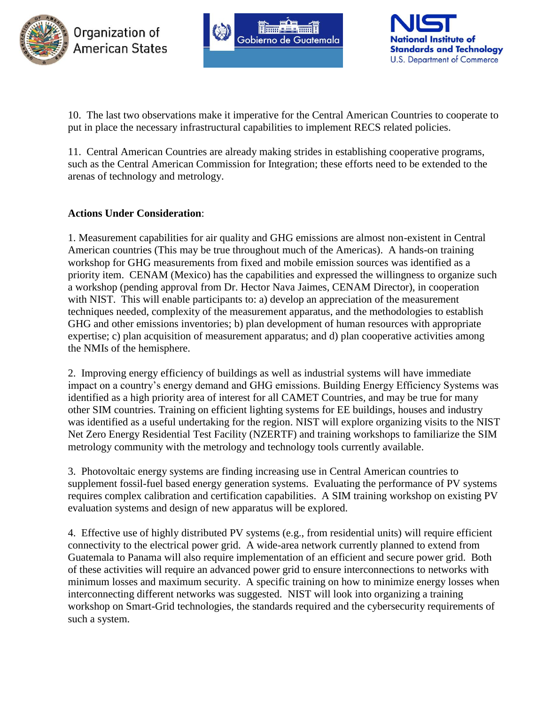





10. The last two observations make it imperative for the Central American Countries to cooperate to put in place the necessary infrastructural capabilities to implement RECS related policies.

11. Central American Countries are already making strides in establishing cooperative programs, such as the Central American Commission for Integration; these efforts need to be extended to the arenas of technology and metrology.

### **Actions Under Consideration**:

1. Measurement capabilities for air quality and GHG emissions are almost non-existent in Central American countries (This may be true throughout much of the Americas). A hands-on training workshop for GHG measurements from fixed and mobile emission sources was identified as a priority item. CENAM (Mexico) has the capabilities and expressed the willingness to organize such a workshop (pending approval from Dr. Hector Nava Jaimes, CENAM Director), in cooperation with NIST. This will enable participants to: a) develop an appreciation of the measurement techniques needed, complexity of the measurement apparatus, and the methodologies to establish GHG and other emissions inventories; b) plan development of human resources with appropriate expertise; c) plan acquisition of measurement apparatus; and d) plan cooperative activities among the NMIs of the hemisphere.

2. Improving energy efficiency of buildings as well as industrial systems will have immediate impact on a country's energy demand and GHG emissions. Building Energy Efficiency Systems was identified as a high priority area of interest for all CAMET Countries, and may be true for many other SIM countries. Training on efficient lighting systems for EE buildings, houses and industry was identified as a useful undertaking for the region. NIST will explore organizing visits to the NIST Net Zero Energy Residential Test Facility (NZERTF) and training workshops to familiarize the SIM metrology community with the metrology and technology tools currently available.

3. Photovoltaic energy systems are finding increasing use in Central American countries to supplement fossil-fuel based energy generation systems. Evaluating the performance of PV systems requires complex calibration and certification capabilities. A SIM training workshop on existing PV evaluation systems and design of new apparatus will be explored.

4. Effective use of highly distributed PV systems (e.g., from residential units) will require efficient connectivity to the electrical power grid. A wide-area network currently planned to extend from Guatemala to Panama will also require implementation of an efficient and secure power grid. Both of these activities will require an advanced power grid to ensure interconnections to networks with minimum losses and maximum security. A specific training on how to minimize energy losses when interconnecting different networks was suggested. NIST will look into organizing a training workshop on Smart-Grid technologies, the standards required and the cybersecurity requirements of such a system.